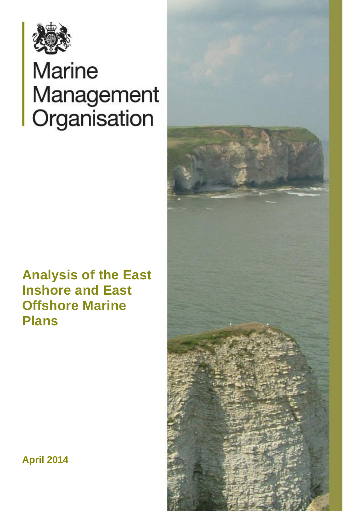

# **Marine** Management Organisation

## **Analysis of the East Inshore and East Offshore Marine Plans**



**April 2014**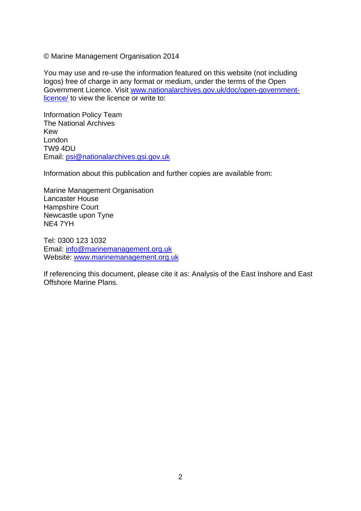© Marine Management Organisation 2014

You may use and re-use the information featured on this website (not including logos) free of charge in any format or medium, under the terms of the Open Government Licence. Visit [www.nationalarchives.gov.uk/doc/open-government](http://www.nationalarchives.gov.uk/doc/open-government-licence/)[licence/](http://www.nationalarchives.gov.uk/doc/open-government-licence/) to view the licence or write to:

Information Policy Team The National Archives Kew London TW9 4DU Email: [psi@nationalarchives.gsi.gov.uk](mailto:psi@nationalarchives.gsi.gov.uk)

Information about this publication and further copies are available from:

Marine Management Organisation Lancaster House Hampshire Court Newcastle upon Tyne NE4 7YH

Tel: 0300 123 1032 Email: [info@marinemanagement.org.uk](mailto:info@marinemanagement.org.uk) Website: [www.marinemanagement.org.uk](http://www.marinemanagement.org.uk/)

If referencing this document, please cite it as: Analysis of the East Inshore and East Offshore Marine Plans.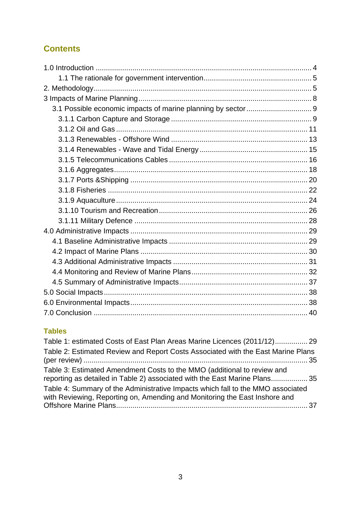## **Contents**

#### **Tables**

<span id="page-2-0"></span>

| Table 1: estimated Costs of East Plan Areas Marine Licences (2011/12) 29                                                                                      |
|---------------------------------------------------------------------------------------------------------------------------------------------------------------|
| Table 2: Estimated Review and Report Costs Associated with the East Marine Plans                                                                              |
| Table 3: Estimated Amendment Costs to the MMO (additional to review and<br>reporting as detailed in Table 2) associated with the East Marine Plans 35         |
| Table 4: Summary of the Administrative Impacts which fall to the MMO associated<br>with Reviewing, Reporting on, Amending and Monitoring the East Inshore and |
|                                                                                                                                                               |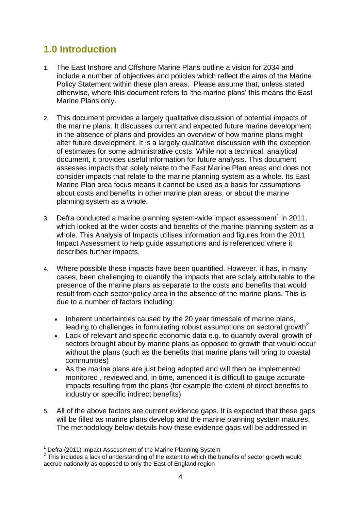## **1.0 Introduction**

- 1. The East Inshore and Offshore Marine Plans outline a vision for 2034 and include a number of objectives and policies which reflect the aims of the Marine Policy Statement within these plan areas. Please assume that, unless stated otherwise, where this document refers to "the marine plans" this means the East Marine Plans only.
- 2. This document provides a largely qualitative discussion of potential impacts of the marine plans. It discusses current and expected future marine development in the absence of plans and provides an overview of how marine plans might alter future development. It is a largely qualitative discussion with the exception of estimates for some administrative costs. While not a technical, analytical document, it provides useful information for future analysis. This document assesses impacts that solely relate to the East Marine Plan areas and does not consider impacts that relate to the marine planning system as a whole. Its East Marine Plan area focus means it cannot be used as a basis for assumptions about costs and benefits in other marine plan areas, or about the marine planning system as a whole.
- 3. Defra conducted a marine planning system-wide impact assessment<sup>1</sup> in 2011, which looked at the wider costs and benefits of the marine planning system as a whole. This Analysis of Impacts utilises information and figures from the 2011 Impact Assessment to help guide assumptions and is referenced where it describes further impacts.
- 4. Where possible these impacts have been quantified. However, it has, in many cases, been challenging to quantify the impacts that are solely attributable to the presence of the marine plans as separate to the costs and benefits that would result from each sector/policy area in the absence of the marine plans. This is due to a number of factors including:
	- Inherent uncertainties caused by the 20 year timescale of marine plans, leading to challenges in formulating robust assumptions on sectoral growth<sup>2</sup>
	- Lack of relevant and specific economic data e.g. to quantify overall growth of sectors brought about by marine plans as opposed to growth that would occur without the plans (such as the benefits that marine plans will bring to coastal communities)
	- As the marine plans are just being adopted and will then be implemented monitored , reviewed and, in time, amended it is difficult to gauge accurate impacts resulting from the plans (for example the extent of direct benefits to industry or specific indirect benefits)
- 5. All of the above factors are current evidence gaps. It is expected that these gaps will be filled as marine plans develop and the marine planning system matures. The methodology below details how these evidence gaps will be addressed in

<sup>1</sup>  $1$  Defra (2011) Impact Assessment of the Marine Planning System

 $2$  This includes a lack of understanding of the extent to which the benefits of sector growth would accrue nationally as opposed to only the East of England region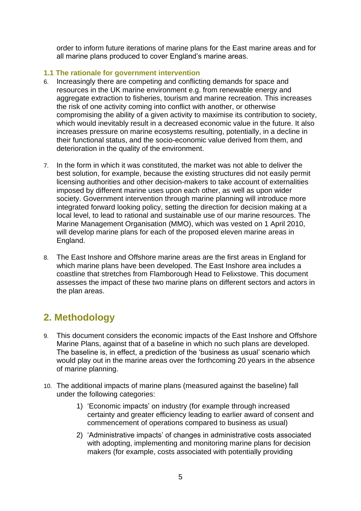order to inform future iterations of marine plans for the East marine areas and for all marine plans produced to cover England"s marine areas.

#### <span id="page-4-0"></span>**1.1 The rationale for government intervention**

- 6. Increasingly there are competing and conflicting demands for space and resources in the UK marine environment e.g. from renewable energy and aggregate extraction to fisheries, tourism and marine recreation. This increases the risk of one activity coming into conflict with another, or otherwise compromising the ability of a given activity to maximise its contribution to society, which would inevitably result in a decreased economic value in the future. It also increases pressure on marine ecosystems resulting, potentially, in a decline in their functional status, and the socio-economic value derived from them, and deterioration in the quality of the environment.
- 7. In the form in which it was constituted, the market was not able to deliver the best solution, for example, because the existing structures did not easily permit licensing authorities and other decision-makers to take account of externalities imposed by different marine uses upon each other, as well as upon wider society. Government intervention through marine planning will introduce more integrated forward looking policy, setting the direction for decision making at a local level, to lead to rational and sustainable use of our marine resources. The Marine Management Organisation (MMO), which was vested on 1 April 2010, will develop marine plans for each of the proposed eleven marine areas in England.
- 8. The East Inshore and Offshore marine areas are the first areas in England for which marine plans have been developed. The East Inshore area includes a coastline that stretches from Flamborough Head to Felixstowe. This document assesses the impact of these two marine plans on different sectors and actors in the plan areas.

## <span id="page-4-1"></span>**2. Methodology**

- 9. This document considers the economic impacts of the East Inshore and Offshore Marine Plans, against that of a baseline in which no such plans are developed. The baseline is, in effect, a prediction of the "business as usual" scenario which would play out in the marine areas over the forthcoming 20 years in the absence of marine planning.
- 10. The additional impacts of marine plans (measured against the baseline) fall under the following categories:
	- 1) "Economic impacts" on industry (for example through increased certainty and greater efficiency leading to earlier award of consent and commencement of operations compared to business as usual)
	- 2) "Administrative impacts" of changes in administrative costs associated with adopting, implementing and monitoring marine plans for decision makers (for example, costs associated with potentially providing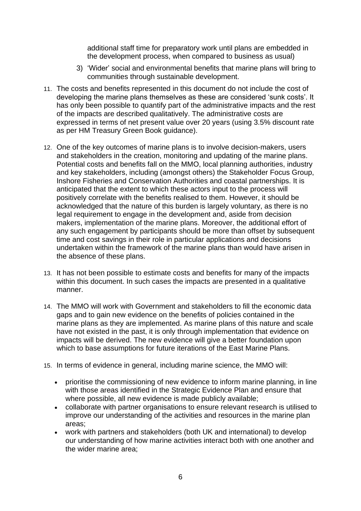additional staff time for preparatory work until plans are embedded in the development process, when compared to business as usual)

- 3) "Wider" social and environmental benefits that marine plans will bring to communities through sustainable development.
- 11. The costs and benefits represented in this document do not include the cost of developing the marine plans themselves as these are considered "sunk costs". It has only been possible to quantify part of the administrative impacts and the rest of the impacts are described qualitatively. The administrative costs are expressed in terms of net present value over 20 years (using 3.5% discount rate as per HM Treasury Green Book guidance).
- 12. One of the key outcomes of marine plans is to involve decision-makers, users and stakeholders in the creation, monitoring and updating of the marine plans. Potential costs and benefits fall on the MMO, local planning authorities, industry and key stakeholders, including (amongst others) the Stakeholder Focus Group, Inshore Fisheries and Conservation Authorities and coastal partnerships. It is anticipated that the extent to which these actors input to the process will positively correlate with the benefits realised to them. However, it should be acknowledged that the nature of this burden is largely voluntary, as there is no legal requirement to engage in the development and, aside from decision makers, implementation of the marine plans. Moreover, the additional effort of any such engagement by participants should be more than offset by subsequent time and cost savings in their role in particular applications and decisions undertaken within the framework of the marine plans than would have arisen in the absence of these plans.
- 13. It has not been possible to estimate costs and benefits for many of the impacts within this document. In such cases the impacts are presented in a qualitative manner.
- 14. The MMO will work with Government and stakeholders to fill the economic data gaps and to gain new evidence on the benefits of policies contained in the marine plans as they are implemented. As marine plans of this nature and scale have not existed in the past, it is only through implementation that evidence on impacts will be derived. The new evidence will give a better foundation upon which to base assumptions for future iterations of the East Marine Plans.
- 15. In terms of evidence in general, including marine science, the MMO will:
	- prioritise the commissioning of new evidence to inform marine planning, in line with those areas identified in the [Strategic Evidence Plan](http://www.marinemanagement.org.uk/about/documents/strategic_evidence_plan.pdf) and ensure that where possible, all new evidence is made publicly available;
	- collaborate with partner organisations to ensure relevant research is utilised to improve our understanding of the activities and resources in the marine plan areas;
	- work with partners and stakeholders (both UK and international) to develop our understanding of how marine activities interact both with one another and the wider marine area;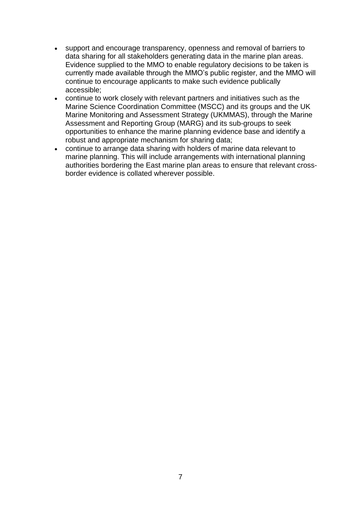- support and encourage transparency, openness and removal of barriers to data sharing for all stakeholders generating data in the marine plan areas. Evidence supplied to the MMO to enable regulatory decisions to be taken is currently made available through the MMO"s public register, and the MMO will continue to encourage applicants to make such evidence publically accessible;
- continue to work closely with relevant partners and initiatives such as the Marine Science Coordination Committee (MSCC) and its groups and the UK Marine Monitoring and Assessment Strategy (UKMMAS), through the Marine Assessment and Reporting Group (MARG) and its sub-groups to seek opportunities to enhance the marine planning evidence base and identify a robust and appropriate mechanism for sharing data;
- continue to arrange data sharing with holders of marine data relevant to marine planning. This will include arrangements with international planning authorities bordering the East marine plan areas to ensure that relevant crossborder evidence is collated wherever possible.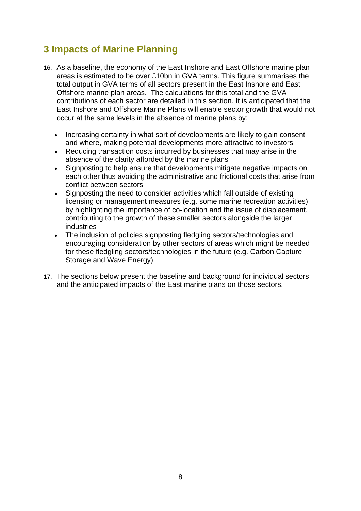## <span id="page-7-0"></span>**3 Impacts of Marine Planning**

- 16. As a baseline, the economy of the East Inshore and East Offshore marine plan areas is estimated to be over £10bn in GVA terms. This figure summarises the total output in GVA terms of all sectors present in the East Inshore and East Offshore marine plan areas. The calculations for this total and the GVA contributions of each sector are detailed in this section. It is anticipated that the East Inshore and Offshore Marine Plans will enable sector growth that would not occur at the same levels in the absence of marine plans by:
	- Increasing certainty in what sort of developments are likely to gain consent and where, making potential developments more attractive to investors
	- Reducing transaction costs incurred by businesses that may arise in the absence of the clarity afforded by the marine plans
	- Signposting to help ensure that developments mitigate negative impacts on each other thus avoiding the administrative and frictional costs that arise from conflict between sectors
	- Signposting the need to consider activities which fall outside of existing licensing or management measures (e.g. some marine recreation activities) by highlighting the importance of co-location and the issue of displacement, contributing to the growth of these smaller sectors alongside the larger industries
	- The inclusion of policies signposting fledgling sectors/technologies and encouraging consideration by other sectors of areas which might be needed for these fledgling sectors/technologies in the future (e.g. Carbon Capture Storage and Wave Energy)
- 17. The sections below present the baseline and background for individual sectors and the anticipated impacts of the East marine plans on those sectors.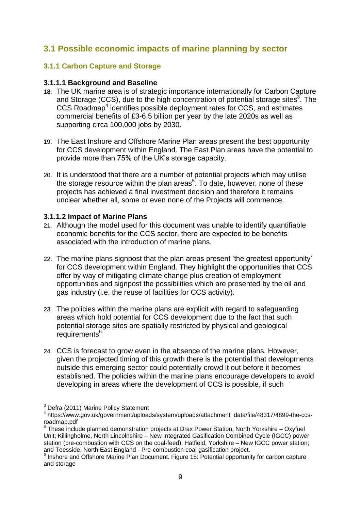#### <span id="page-8-0"></span>**3.1 Possible economic impacts of marine planning by sector**

#### <span id="page-8-1"></span>**3.1.1 Carbon Capture and Storage**

#### **3.1.1.1 Background and Baseline**

- 18. The UK marine area is of strategic importance internationally for Carbon Capture and Storage (CCS), due to the high concentration of potential storage sites $3$ . The CCS Roadmap<sup>4</sup> identifies possible deployment rates for CCS, and estimates commercial benefits of £3-6.5 billion per year by the late 2020s as well as supporting circa 100,000 jobs by 2030.
- 19. The East Inshore and Offshore Marine Plan areas present the best opportunity for CCS development within England. The East Plan areas have the potential to provide more than 75% of the UK"s storage capacity.
- 20. It is understood that there are a number of potential projects which may utilise the storage resource within the plan areas<sup>5</sup>. To date, however, none of these projects has achieved a final investment decision and therefore it remains unclear whether all, some or even none of the Projects will commence.

#### **3.1.1.2 Impact of Marine Plans**

- 21. Although the model used for this document was unable to identify quantifiable economic benefits for the CCS sector, there are expected to be benefits associated with the introduction of marine plans.
- 22. The marine plans signpost that the plan areas present "the greatest opportunity" for CCS development within England. They highlight the opportunities that CCS offer by way of mitigating climate change plus creation of employment opportunities and signpost the possibilities which are presented by the oil and gas industry (i.e. the reuse of facilities for CCS activity).
- 23. The policies within the marine plans are explicit with regard to safeguarding areas which hold potential for CCS development due to the fact that such potential storage sites are spatially restricted by physical and geological requirements<sup>6.</sup>
- 24. CCS is forecast to grow even in the absence of the marine plans. However, given the projected timing of this growth there is the potential that developments outside this emerging sector could potentially crowd it out before it becomes established. The policies within the marine plans encourage developers to avoid developing in areas where the development of CCS is possible, if such

<sup>1</sup> <sup>3</sup> Defra (2011) Marine Policy Statement

<sup>4</sup> https://www.gov.uk/government/uploads/system/uploads/attachment\_data/file/48317/4899-the-ccsroadmap.pdf

<sup>&</sup>lt;sup>5</sup> These include planned demonstration projects at Drax Power Station, North Yorkshire – Oxyfuel Unit; Killingholme, North Lincolnshire – New Integrated Gasification Combined Cycle (IGCC) power station (pre-combustion with CCS on the coal-feed); Hatfield, Yorkshire – New IGCC power station; and Teesside, North East England - Pre-combustion coal gasification project.

<sup>&</sup>lt;sup>6</sup> Inshore and Offshore Marine Plan Document. Figure 15: Potential opportunity for carbon capture and storage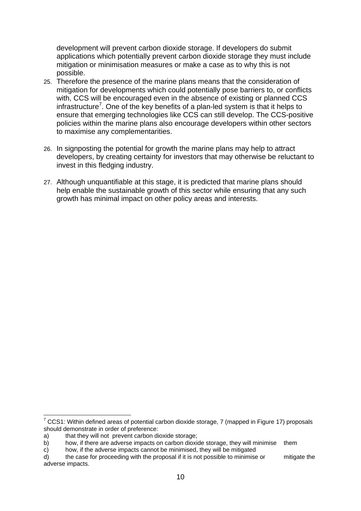development will prevent carbon dioxide storage. If developers do submit applications which potentially prevent carbon dioxide storage they must include mitigation or minimisation measures or make a case as to why this is not possible.

- 25. Therefore the presence of the marine plans means that the consideration of mitigation for developments which could potentially pose barriers to, or conflicts with, CCS will be encouraged even in the absence of existing or planned CCS infrastructure<sup>7</sup>. One of the key benefits of a plan-led system is that it helps to ensure that emerging technologies like CCS can still develop. The CCS-positive policies within the marine plans also encourage developers within other sectors to maximise any complementarities.
- 26. In signposting the potential for growth the marine plans may help to attract developers, by creating certainty for investors that may otherwise be reluctant to invest in this fledging industry.
- 27. Although unquantifiable at this stage, it is predicted that marine plans should help enable the sustainable growth of this sector while ensuring that any such growth has minimal impact on other policy areas and interests.

1

 $7$  CCS1: Within defined areas of potential carbon dioxide storage, 7 (mapped in Figure 17) proposals should demonstrate in order of preference:

a) that they will not prevent carbon dioxide storage:

b) how, if there are adverse impacts on carbon dioxide storage, they will minimise them

c) how, if the adverse impacts cannot be minimised, they will be mitigated

d) the case for proceeding with the proposal if it is not possible to minimise or mitigate the adverse impacts.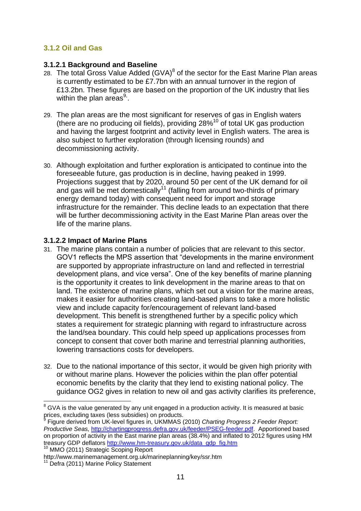#### <span id="page-10-0"></span>**3.1.2 Oil and Gas**

#### **3.1.2.1 Background and Baseline**

- 28. The total Gross Value Added  $(GVA)^8$  of the sector for the East Marine Plan areas is currently estimated to be £7.7bn with an annual turnover in the region of £13.2bn. These figures are based on the proportion of the UK industry that lies within the plan areas $9$ .
- 29. The plan areas are the most significant for reserves of gas in English waters (there are no producing oil fields), providing  $28\%$ <sup>10</sup> of total UK gas production and having the largest footprint and activity level in English waters. The area is also subject to further exploration (through licensing rounds) and decommissioning activity.
- 30. Although exploitation and further exploration is anticipated to continue into the foreseeable future, gas production is in decline, having peaked in 1999. Projections suggest that by 2020, around 50 per cent of the UK demand for oil and gas will be met domestically<sup>11</sup> (falling from around two-thirds of primary energy demand today) with consequent need for import and storage infrastructure for the remainder. This decline leads to an expectation that there will be further decommissioning activity in the East Marine Plan areas over the life of the marine plans.

#### **3.1.2.2 Impact of Marine Plans**

- 31. The marine plans contain a number of policies that are relevant to this sector. GOV1 reflects the MPS assertion that "developments in the marine environment are supported by appropriate infrastructure on land and reflected in terrestrial development plans, and vice versa". One of the key benefits of marine planning is the opportunity it creates to link development in the marine areas to that on land. The existence of marine plans, which set out a vision for the marine areas, makes it easier for authorities creating land-based plans to take a more holistic view and include capacity for/encouragement of relevant land-based development. This benefit is strengthened further by a specific policy which states a requirement for strategic planning with regard to infrastructure across the land/sea boundary. This could help speed up applications processes from concept to consent that cover both marine and terrestrial planning authorities, lowering transactions costs for developers.
- 32. Due to the national importance of this sector, it would be given high priority with or without marine plans. However the policies within the plan offer potential economic benefits by the clarity that they lend to existing national policy. The guidance OG2 gives in relation to new oil and gas activity clarifies its preference,

http://www.marinemanagement.org.uk/marineplanning/key/ssr.htm

<sup>1</sup> <sup>8</sup> GVA is the value generated by any unit engaged in a production activity. It is measured at basic prices, excluding taxes (less subsidies) on products.<br><sup>9</sup> Figure derived from UK lovel figures in JUKM44S.

Figure derived from UK-level figures in, UKMMAS (2010) *Charting Progress 2 Feeder Report: Productive Seas,* [http://chartingprogress.defra.gov.uk/feeder/PSEG-feeder.pdf.](http://chartingprogress.defra.gov.uk/feeder/PSEG-feeder.pdf) Apportioned based on proportion of activity in the East marine plan areas (38.4%) and inflated to 2012 figures using HM treasury GDP deflators [http://www.hm-treasury.gov.uk/data\\_gdp\\_fig.htm](http://www.hm-treasury.gov.uk/data_gdp_fig.htm) <sup>10</sup> MMO (2011) Strategic Scoping Report

<sup>&</sup>lt;sup>1</sup> Defra (2011) Marine Policy Statement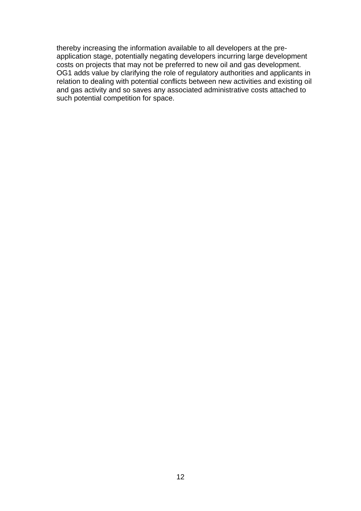thereby increasing the information available to all developers at the preapplication stage, potentially negating developers incurring large development costs on projects that may not be preferred to new oil and gas development. OG1 adds value by clarifying the role of regulatory authorities and applicants in relation to dealing with potential conflicts between new activities and existing oil and gas activity and so saves any associated administrative costs attached to such potential competition for space.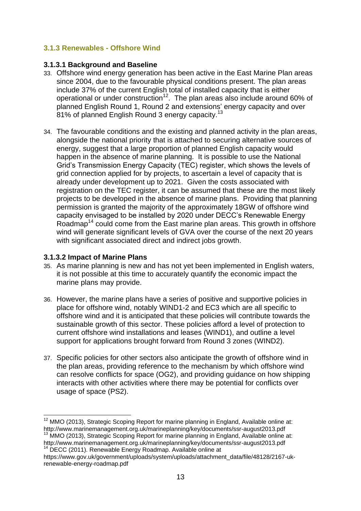#### <span id="page-12-0"></span>**3.1.3 Renewables - Offshore Wind**

#### **3.1.3.1 Background and Baseline**

- 33. Offshore wind energy generation has been active in the East Marine Plan areas since 2004, due to the favourable physical conditions present. The plan areas include 37% of the current English total of installed capacity that is either operational or under construction<sup>12</sup>. The plan areas also include around 60% of planned English Round 1, Round 2 and extensions" energy capacity and over  $81\%$  of planned English Round 3 energy capacity.<sup>13</sup>
- 34. The favourable conditions and the existing and planned activity in the plan areas, alongside the national priority that is attached to securing alternative sources of energy, suggest that a large proportion of planned English capacity would happen in the absence of marine planning. It is possible to use the National Grid"s Transmission Energy Capacity (TEC) register, which shows the levels of grid connection applied for by projects, to ascertain a level of capacity that is already under development up to 2021. Given the costs associated with registration on the TEC register, it can be assumed that these are the most likely projects to be developed in the absence of marine plans. Providing that planning permission is granted the majority of the approximately 18GW of offshore wind capacity envisaged to be installed by 2020 under DECC"s Renewable Energy Roadmap<sup>14</sup> could come from the East marine plan areas. This growth in offshore wind will generate significant levels of GVA over the course of the next 20 years with significant associated direct and indirect jobs growth.

#### **3.1.3.2 Impact of Marine Plans**

- 35. As marine planning is new and has not yet been implemented in English waters, it is not possible at this time to accurately quantify the economic impact the marine plans may provide.
- 36. However, the marine plans have a series of positive and supportive policies in place for offshore wind, notably WIND1-2 and EC3 which are all specific to offshore wind and it is anticipated that these policies will contribute towards the sustainable growth of this sector. These policies afford a level of protection to current offshore wind installations and leases (WIND1), and outline a level support for applications brought forward from Round 3 zones (WIND2).
- 37. Specific policies for other sectors also anticipate the growth of offshore wind in the plan areas, providing reference to the mechanism by which offshore wind can resolve conflicts for space (OG2), and providing guidance on how shipping interacts with other activities where there may be potential for conflicts over usage of space (PS2).

<sup>1</sup>  $12$  MMO (2013), Strategic Scoping Report for marine planning in England, Available online at: http://www.marinemanagement.org.uk/marineplanning/key/documents/ssr-august2013.pdf

<sup>&</sup>lt;sup>13</sup> MMO (2013), Strategic Scoping Report for marine planning in England, Available online at: http://www.marinemanagement.org.uk/marineplanning/key/documents/ssr-august2013.pdf <sup>14</sup> DECC (2011). Renewable Energy Roadmap. Available online at

https://www.gov.uk/government/uploads/system/uploads/attachment\_data/file/48128/2167-ukrenewable-energy-roadmap.pdf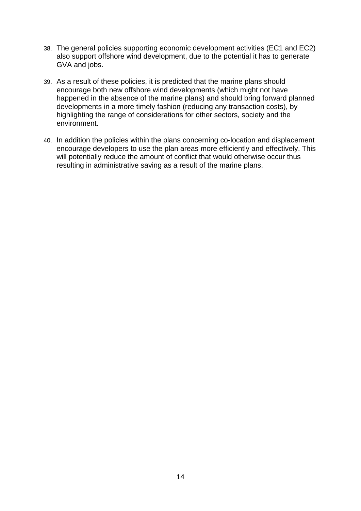- 38. The general policies supporting economic development activities (EC1 and EC2) also support offshore wind development, due to the potential it has to generate GVA and jobs.
- 39. As a result of these policies, it is predicted that the marine plans should encourage both new offshore wind developments (which might not have happened in the absence of the marine plans) and should bring forward planned developments in a more timely fashion (reducing any transaction costs), by highlighting the range of considerations for other sectors, society and the environment.
- 40. In addition the policies within the plans concerning co-location and displacement encourage developers to use the plan areas more efficiently and effectively. This will potentially reduce the amount of conflict that would otherwise occur thus resulting in administrative saving as a result of the marine plans.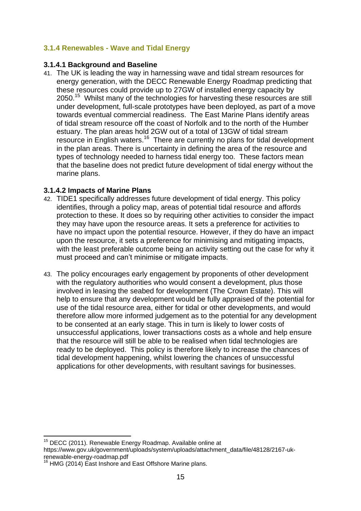#### <span id="page-14-0"></span>**3.1.4 Renewables - Wave and Tidal Energy**

#### **3.1.4.1 Background and Baseline**

41. The UK is leading the way in harnessing wave and tidal stream resources for energy generation, with the DECC Renewable Energy Roadmap predicting that these resources could provide up to 27GW of installed energy capacity by 2050.<sup>15</sup> Whilst many of the technologies for harvesting these resources are still under development, full-scale prototypes have been deployed, as part of a move towards eventual commercial readiness. The East Marine Plans identify areas of tidal stream resource off the coast of Norfolk and to the north of the Humber estuary. The plan areas hold 2GW out of a total of 13GW of tidal stream resource in English waters.<sup>16</sup> There are currently no plans for tidal development in the plan areas. There is uncertainty in defining the area of the resource and types of technology needed to harness tidal energy too. These factors mean that the baseline does not predict future development of tidal energy without the marine plans.

#### **3.1.4.2 Impacts of Marine Plans**

- 42. TIDE1 specifically addresses future development of tidal energy. This policy identifies, through a policy map, areas of potential tidal resource and affords protection to these. It does so by requiring other activities to consider the impact they may have upon the resource areas. It sets a preference for activities to have no impact upon the potential resource. However, if they do have an impact upon the resource, it sets a preference for minimising and mitigating impacts, with the least preferable outcome being an activity setting out the case for why it must proceed and can"t minimise or mitigate impacts.
- 43. The policy encourages early engagement by proponents of other development with the regulatory authorities who would consent a development, plus those involved in leasing the seabed for development (The Crown Estate). This will help to ensure that any development would be fully appraised of the potential for use of the tidal resource area, either for tidal or other developments, and would therefore allow more informed judgement as to the potential for any development to be consented at an early stage. This in turn is likely to lower costs of unsuccessful applications, lower transactions costs as a whole and help ensure that the resource will still be able to be realised when tidal technologies are ready to be deployed. This policy is therefore likely to increase the chances of tidal development happening, whilst lowering the chances of unsuccessful applications for other developments, with resultant savings for businesses.

<sup>1</sup> <sup>15</sup> DECC (2011). Renewable Energy Roadmap. Available online at

https://www.gov.uk/government/uploads/system/uploads/attachment\_data/file/48128/2167-ukrenewable-energy-roadmap.pdf

<sup>&</sup>lt;sup>16</sup> HMG (2014) East Inshore and East Offshore Marine plans.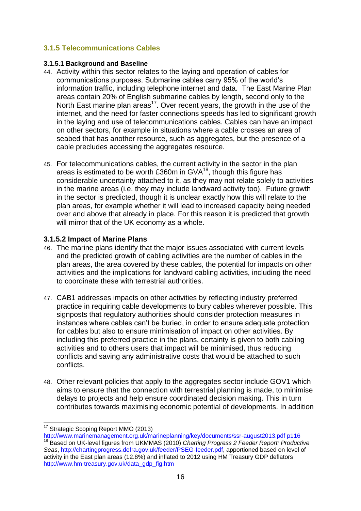#### <span id="page-15-0"></span>**3.1.5 Telecommunications Cables**

#### **3.1.5.1 Background and Baseline**

- 44. Activity within this sector relates to the laying and operation of cables for communications purposes. Submarine cables carry 95% of the world"s information traffic, including telephone internet and data. The East Marine Plan areas contain 20% of English submarine cables by length, second only to the North East marine plan areas<sup>17</sup>. Over recent years, the growth in the use of the internet, and the need for faster connections speeds has led to significant growth in the laying and use of telecommunications cables. Cables can have an impact on other sectors, for example in situations where a cable crosses an area of seabed that has another resource, such as aggregates, but the presence of a cable precludes accessing the aggregates resource.
- 45. For telecommunications cables, the current activity in the sector in the plan areas is estimated to be worth £360m in  $GVA^{18}$ , though this figure has considerable uncertainty attached to it, as they may not relate solely to activities in the marine areas (i.e. they may include landward activity too). Future growth in the sector is predicted, though it is unclear exactly how this will relate to the plan areas, for example whether it will lead to increased capacity being needed over and above that already in place. For this reason it is predicted that growth will mirror that of the UK economy as a whole.

#### **3.1.5.2 Impact of Marine Plans**

- 46. The marine plans identify that the major issues associated with current levels and the predicted growth of cabling activities are the number of cables in the plan areas, the area covered by these cables, the potential for impacts on other activities and the implications for landward cabling activities, including the need to coordinate these with terrestrial authorities.
- 47. CAB1 addresses impacts on other activities by reflecting industry preferred practice in requiring cable developments to bury cables wherever possible. This signposts that regulatory authorities should consider protection measures in instances where cables can"t be buried, in order to ensure adequate protection for cables but also to ensure minimisation of impact on other activities. By including this preferred practice in the plans, certainty is given to both cabling activities and to others users that impact will be minimised, thus reducing conflicts and saving any administrative costs that would be attached to such conflicts.
- 48. Other relevant policies that apply to the aggregates sector include GOV1 which aims to ensure that the connection with terrestrial planning is made, to minimise delays to projects and help ensure coordinated decision making. This in turn contributes towards maximising economic potential of developments. In addition

1

<sup>&</sup>lt;sup>17</sup> Strategic Scoping Report MMO (2013)

[http://www.marinemanagement.org.uk/marineplanning/key/documents/ssr-august2013.pdf p116](http://www.marinemanagement.org.uk/marineplanning/key/documents/ssr-august2013.pdf%20p116) <sup>18</sup> Based on UK-level figures from UKMMAS (2010) *Charting Progress 2 Feeder Report: Productive Seas*, [http://chartingprogress.defra.gov.uk/feeder/PSEG-feeder.pdf,](http://chartingprogress.defra.gov.uk/feeder/PSEG-feeder.pdf) apportioned based on level of activity in the East plan areas (12.8%) and inflated to 2012 using HM Treasury GDP deflators [http://www.hm-treasury.gov.uk/data\\_gdp\\_fig.htm](http://www.hm-treasury.gov.uk/data_gdp_fig.htm)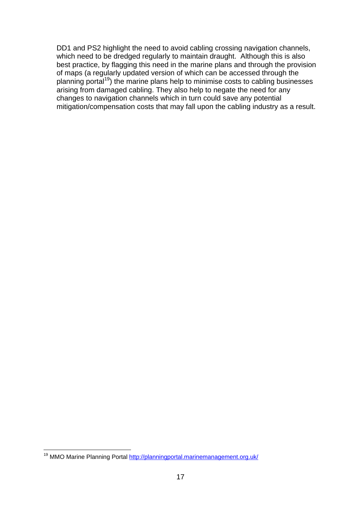DD1 and PS2 highlight the need to avoid cabling crossing navigation channels, which need to be dredged regularly to maintain draught. Although this is also best practice, by flagging this need in the marine plans and through the provision of maps (a regularly updated version of which can be accessed through the planning portal<sup>19</sup>) the marine plans help to minimise costs to cabling businesses arising from damaged cabling. They also help to negate the need for any changes to navigation channels which in turn could save any potential mitigation/compensation costs that may fall upon the cabling industry as a result.

<sup>1</sup> <sup>19</sup> MMO Marine Planning Portal<http://planningportal.marinemanagement.org.uk/>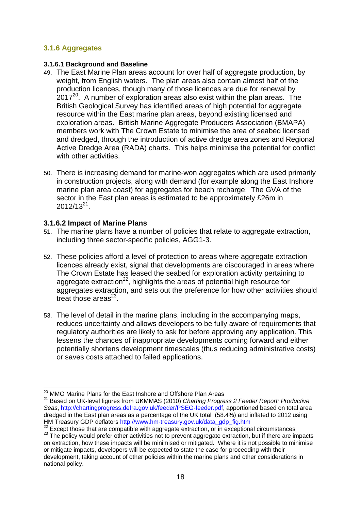#### <span id="page-17-0"></span>**3.1.6 Aggregates**

#### **3.1.6.1 Background and Baseline**

- 49. The East Marine Plan areas account for over half of aggregate production, by weight, from English waters. The plan areas also contain almost half of the production licences, though many of those licences are due for renewal by  $2017<sup>20</sup>$ . A number of exploration areas also exist within the plan areas. The British Geological Survey has identified areas of high potential for aggregate resource within the East marine plan areas, beyond existing licensed and exploration areas. British Marine Aggregate Producers Association (BMAPA) members work with The Crown Estate to minimise the area of seabed licensed and dredged, through the introduction of active dredge area zones and Regional Active Dredge Area (RADA) charts. This helps minimise the potential for conflict with other activities.
- 50. There is increasing demand for marine-won aggregates which are used primarily in construction projects, along with demand (for example along the East Inshore marine plan area coast) for aggregates for beach recharge. The GVA of the sector in the East plan areas is estimated to be approximately £26m in  $2012/13^{21}$ .

#### **3.1.6.2 Impact of Marine Plans**

- 51. The marine plans have a number of policies that relate to aggregate extraction, including three sector-specific policies, AGG1-3.
- 52. These policies afford a level of protection to areas where aggregate extraction licences already exist, signal that developments are discouraged in areas where The Crown Estate has leased the seabed for exploration activity pertaining to aggregate extraction $^{22}$ , highlights the areas of potential high resource for aggregates extraction, and sets out the preference for how other activities should treat those areas $^{23}$ .
- 53. The level of detail in the marine plans, including in the accompanying maps, reduces uncertainty and allows developers to be fully aware of requirements that regulatory authorities are likely to ask for before approving any application. This lessens the chances of inappropriate developments coming forward and either potentially shortens development timescales (thus reducing administrative costs) or saves costs attached to failed applications.

<sup>1</sup> <sup>20</sup> MMO Marine Plans for the East Inshore and Offshore Plan Areas

<sup>21</sup> Based on UK-level figures from UKMMAS (2010) *Charting Progress 2 Feeder Report: Productive Seas*, [http://chartingprogress.defra.gov.uk/feeder/PSEG-feeder.pdf,](http://chartingprogress.defra.gov.uk/feeder/PSEG-feeder.pdf) apportioned based on total area dredged in the East plan areas as a percentage of the UK total (58.4%) and inflated to 2012 using HM Treasury GDP deflators [http://www.hm-treasury.gov.uk/data\\_gdp\\_fig.htm](http://www.hm-treasury.gov.uk/data_gdp_fig.htm)

<sup>&</sup>lt;sup>22</sup> Except those that are compatible with aggregate extraction, or in exceptional circumstances

<sup>&</sup>lt;sup>23</sup> The policy would prefer other activities not to prevent aggregate extraction, but if there are impacts on extraction, how these impacts will be minimised or mitigated. Where it is not possible to minimise or mitigate impacts, developers will be expected to state the case for proceeding with their development, taking account of other policies within the marine plans and other considerations in national policy.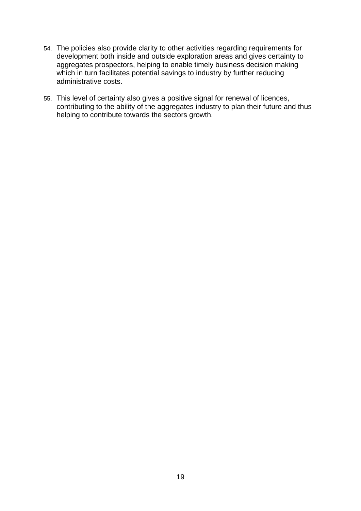- 54. The policies also provide clarity to other activities regarding requirements for development both inside and outside exploration areas and gives certainty to aggregates prospectors, helping to enable timely business decision making which in turn facilitates potential savings to industry by further reducing administrative costs.
- 55. This level of certainty also gives a positive signal for renewal of licences, contributing to the ability of the aggregates industry to plan their future and thus helping to contribute towards the sectors growth.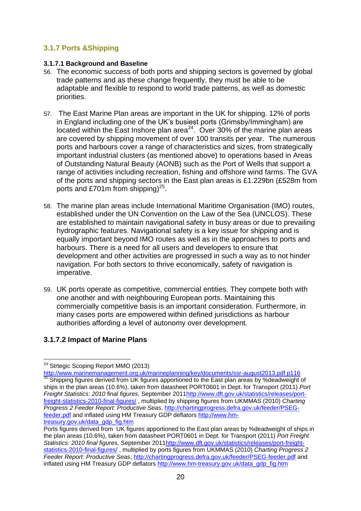#### <span id="page-19-0"></span>**3.1.7 Ports &Shipping**

#### **3.1.7.1 Background and Baseline**

- 56. The economic success of both ports and shipping sectors is governed by global trade patterns and as these change frequently, they must be able to be adaptable and flexible to respond to world trade patterns, as well as domestic priorities.
- 57. The East Marine Plan areas are important in the UK for shipping. 12% of ports in England including one of the UK"s busiest ports (Grimsby/Immingham) are located within the East Inshore plan area<sup>24</sup>. Over 30% of the marine plan areas are covered by shipping movement of over 100 transits per year. The numerous ports and harbours cover a range of characteristics and sizes, from strategically important industrial clusters (as mentioned above) to operations based in Areas of Outstanding Natural Beauty (AONB) such as the Port of Wells that support a range of activities including recreation, fishing and offshore wind farms. The GVA of the ports and shipping sectors in the East plan areas is £1.229bn (£528m from ports and £701m from shipping) $^{25}$ .
- 58. The marine plan areas include International Maritime Organisation (IMO) routes, established under the UN Convention on the Law of the Sea (UNCLOS). These are established to maintain navigational safety in busy areas or due to prevailing hydrographic features. Navigational safety is a key issue for shipping and is equally important beyond IMO routes as well as in the approaches to ports and harbours. There is a need for all users and developers to ensure that development and other activities are progressed in such a way as to not hinder navigation. For both sectors to thrive economically, safety of navigation is imperative.
- 59. UK ports operate as competitive, commercial entities. They compete both with one another and with neighbouring European ports. Maintaining this commercially competitive basis is an important consideration. Furthermore, in many cases ports are empowered within defined jurisdictions as harbour authorities affording a level of autonomy over development.

#### **3.1.7.2 Impact of Marine Plans**

1

<sup>&</sup>lt;sup>24</sup> Strtegic Scoping Report MMO (2013)

[http://www.marinemanagement.org.uk/marineplanning/key/documents/ssr-august2013.pdf p116](http://www.marinemanagement.org.uk/marineplanning/key/documents/ssr-august2013.pdf%20p116) <sup>25</sup> Shipping figures derived from UK figures apportioned to the East plan areas by %deadweight of ships in the plan areas (10.6%), taken from datasheet PORT0601 in Dept. for Transport (2011) *Port Freight Statistics: 2010 final figures,* September 201[1http://www.dft.gov.uk/statistics/releases/port](http://www.dft.gov.uk/statistics/releases/port-freight-statistics-2010-final-figures/)[freight-statistics-2010-final-figures/](http://www.dft.gov.uk/statistics/releases/port-freight-statistics-2010-final-figures/) , multiplied by shipping figures from UKMMAS (2010) *Charting Progress 2 Feeder Report: Productive Seas*, [http://chartingprogress.defra.gov.uk/feeder/PSEG](http://chartingprogress.defra.gov.uk/feeder/PSEG-feeder.pdf)[feeder.pdf](http://chartingprogress.defra.gov.uk/feeder/PSEG-feeder.pdf) and inflated using HM Treasury GDP deflators [http://www.hm](http://www.hm-treasury.gov.uk/data_gdp_fig.htm)[treasury.gov.uk/data\\_gdp\\_fig.htm](http://www.hm-treasury.gov.uk/data_gdp_fig.htm)

Ports figures derived from UK figures apportioned to the East plan areas by %deadweight of ships in the plan areas (10.6%), taken from datasheet PORT0601 in Dept. for Transport (2011) *Port Freight Statistics: 2010 final figures,* September 201[1http://www.dft.gov.uk/statistics/releases/port-freight](http://www.dft.gov.uk/statistics/releases/port-freight-statistics-2010-final-figures/)[statistics-2010-final-figures/](http://www.dft.gov.uk/statistics/releases/port-freight-statistics-2010-final-figures/) , multiplied by ports figures from UKMMAS (2010) *Charting Progress 2 Feeder Report: Productive Seas*,<http://chartingprogress.defra.gov.uk/feeder/PSEG-feeder.pdf> and inflated using HM Treasury GDP deflators [http://www.hm-treasury.gov.uk/data\\_gdp\\_fig.htm](http://www.hm-treasury.gov.uk/data_gdp_fig.htm)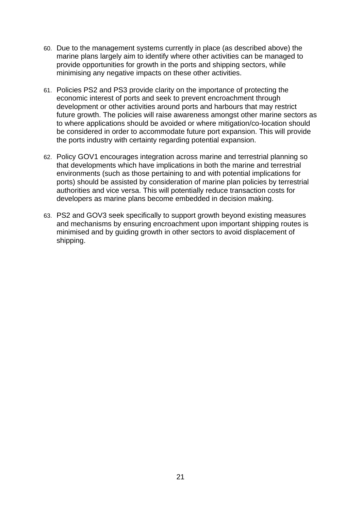- 60. Due to the management systems currently in place (as described above) the marine plans largely aim to identify where other activities can be managed to provide opportunities for growth in the ports and shipping sectors, while minimising any negative impacts on these other activities.
- 61. Policies PS2 and PS3 provide clarity on the importance of protecting the economic interest of ports and seek to prevent encroachment through development or other activities around ports and harbours that may restrict future growth. The policies will raise awareness amongst other marine sectors as to where applications should be avoided or where mitigation/co-location should be considered in order to accommodate future port expansion. This will provide the ports industry with certainty regarding potential expansion.
- 62. Policy GOV1 encourages integration across marine and terrestrial planning so that developments which have implications in both the marine and terrestrial environments (such as those pertaining to and with potential implications for ports) should be assisted by consideration of marine plan policies by terrestrial authorities and vice versa. This will potentially reduce transaction costs for developers as marine plans become embedded in decision making.
- 63. PS2 and GOV3 seek specifically to support growth beyond existing measures and mechanisms by ensuring encroachment upon important shipping routes is minimised and by guiding growth in other sectors to avoid displacement of shipping.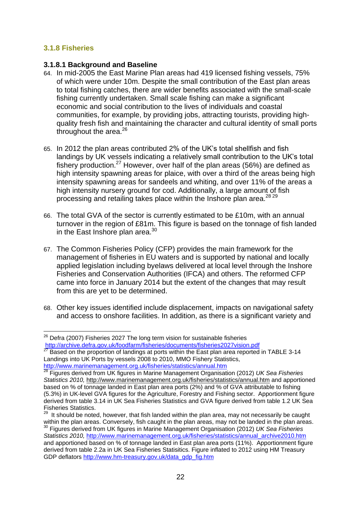#### <span id="page-21-0"></span>**3.1.8 Fisheries**

1

#### **3.1.8.1 Background and Baseline**

- 64. In mid-2005 the East Marine Plan areas had 419 licensed fishing vessels, 75% of which were under 10m. Despite the small contribution of the East plan areas to total fishing catches, there are wider benefits associated with the small-scale fishing currently undertaken. Small scale fishing can make a significant economic and social contribution to the lives of individuals and coastal communities, for example, by providing jobs, attracting tourists, providing highquality fresh fish and maintaining the character and cultural identity of small ports throughout the area. $26$
- 65. In 2012 the plan areas contributed 2% of the UK"s total shellfish and fish landings by UK vessels indicating a relatively small contribution to the UK"s total fishery production.<sup>27</sup> However, over half of the plan areas (56%) are defined as high intensity spawning areas for plaice, with over a third of the areas being high intensity spawning areas for sandeels and whiting, and over 11% of the areas a high intensity nursery ground for cod. Additionally, a large amount of fish processing and retailing takes place within the Inshore plan area.<sup>28,29</sup>
- 66. The total GVA of the sector is currently estimated to be £10m, with an annual turnover in the region of £81m. This figure is based on the tonnage of fish landed in the East Inshore plan area.<sup>30</sup>
- 67. The Common Fisheries Policy (CFP) provides the main framework for the management of fisheries in EU waters and is supported by national and locally applied legislation including byelaws delivered at local level through the Inshore Fisheries and Conservation Authorities (IFCA) and others. The reformed CFP came into force in January 2014 but the extent of the changes that may result from this are yet to be determined.
- 68. Other key issues identified include displacement, impacts on navigational safety and access to onshore facilities. In addition, as there is a significant variety and

 $^{26}$  Defra (2007) Fisheries 2027 The long term vision for sustainable fisheries <http://archive.defra.gov.uk/foodfarm/fisheries/documents/fisheries2027vision.pdf>

 $27$  Based on the proportion of landings at ports within the East plan area reported in TABLE 3-14 Landings into UK Ports by vessels 2008 to 2010, MMO Fishery Statistics, <http://www.marinemanagement.org.uk/fisheries/statistics/annual.htm><sup>28</sup> Figures derived from LIV figures

<sup>28</sup> Figures derived from UK figures in Marine Management Organisation (2012) *UK Sea Fisheries Statistics 2010,* http://www.marinemanagement.org.uk/fisheries/statistics/annual.htm and apportioned based on % of tonnage landed in East plan area ports (2%) and % of GVA attributable to fishing (5.3%) in UK-level GVA figures for the Agriculture, Forestry and Fishing sector. Apportionment figure derived from table 3.14 in UK Sea Fisheries Statistics and GVA figure derived from table 1.2 UK Sea Fisheries Statistics.

 $29$  It should be noted, however, that fish landed within the plan area, may not necessarily be caught within the plan areas. Conversely, fish caught in the plan areas, may not be landed in the plan areas. <sup>30</sup> Figures derived from UK figures in Marine Management Organisation (2012) *UK Sea Fisheries Statistics 2010,* [http://www.marinemanagement.org.uk/fisheries/statistics/annual\\_archive2010.htm](http://www.marinemanagement.org.uk/fisheries/statistics/annual_archive2010.htm) and apportioned based on % of tonnage landed in East plan area ports (11%). Apportionment figure derived from table 2.2a in UK Sea Fisheries Statisitics. Figure inflated to 2012 using HM Treasury GDP deflators [http://www.hm-treasury.gov.uk/data\\_gdp\\_fig.htm](http://www.hm-treasury.gov.uk/data_gdp_fig.htm)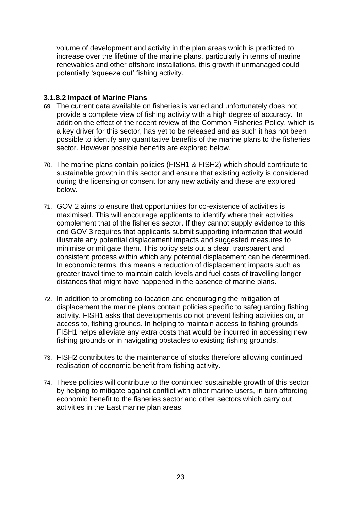volume of development and activity in the plan areas which is predicted to increase over the lifetime of the marine plans, particularly in terms of marine renewables and other offshore installations, this growth if unmanaged could potentially 'squeeze out' fishing activity.

#### **3.1.8.2 Impact of Marine Plans**

- 69. The current data available on fisheries is varied and unfortunately does not provide a complete view of fishing activity with a high degree of accuracy. In addition the effect of the recent review of the Common Fisheries Policy, which is a key driver for this sector, has yet to be released and as such it has not been possible to identify any quantitative benefits of the marine plans to the fisheries sector. However possible benefits are explored below.
- 70. The marine plans contain policies (FISH1 & FISH2) which should contribute to sustainable growth in this sector and ensure that existing activity is considered during the licensing or consent for any new activity and these are explored below.
- 71. GOV 2 aims to ensure that opportunities for co-existence of activities is maximised. This will encourage applicants to identify where their activities complement that of the fisheries sector. If they cannot supply evidence to this end GOV 3 requires that applicants submit supporting information that would illustrate any potential displacement impacts and suggested measures to minimise or mitigate them. This policy sets out a clear, transparent and consistent process within which any potential displacement can be determined. In economic terms, this means a reduction of displacement impacts such as greater travel time to maintain catch levels and fuel costs of travelling longer distances that might have happened in the absence of marine plans.
- 72. In addition to promoting co-location and encouraging the mitigation of displacement the marine plans contain policies specific to safeguarding fishing activity. FISH1 asks that developments do not prevent fishing activities on, or access to, fishing grounds. In helping to maintain access to fishing grounds FISH1 helps alleviate any extra costs that would be incurred in accessing new fishing grounds or in navigating obstacles to existing fishing grounds.
- 73. FISH2 contributes to the maintenance of stocks therefore allowing continued realisation of economic benefit from fishing activity.
- 74. These policies will contribute to the continued sustainable growth of this sector by helping to mitigate against conflict with other marine users, in turn affording economic benefit to the fisheries sector and other sectors which carry out activities in the East marine plan areas.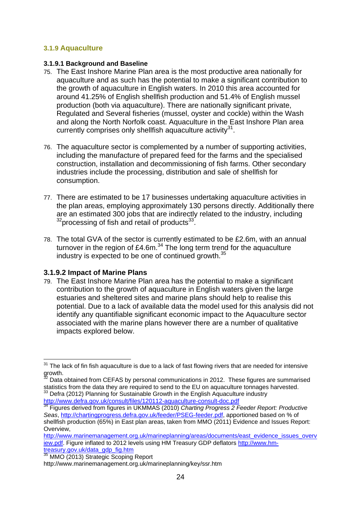#### <span id="page-23-0"></span>**3.1.9 Aquaculture**

#### **3.1.9.1 Background and Baseline**

- 75. The East Inshore Marine Plan area is the most productive area nationally for aquaculture and as such has the potential to make a significant contribution to the growth of aquaculture in English waters. In 2010 this area accounted for around 41.25% of English shellfish production and 51.4% of English mussel production (both via aquaculture). There are nationally significant private, Regulated and Several fisheries (mussel, oyster and cockle) within the Wash and along the North Norfolk coast. Aquaculture in the East Inshore Plan area currently comprises only shellfish aquaculture activity $31$ .
- 76. The aquaculture sector is complemented by a number of supporting activities, including the manufacture of prepared feed for the farms and the specialised construction, installation and decommissioning of fish farms. Other secondary industries include the processing, distribution and sale of shellfish for consumption.
- 77. There are estimated to be 17 businesses undertaking aquaculture activities in the plan areas, employing approximately 130 persons directly. Additionally there are an estimated 300 jobs that are indirectly related to the industry, including  $32$ processing of fish and retail of products $33$ .
- 78. The total GVA of the sector is currently estimated to be £2.6m, with an annual turnover in the region of £4.6m. $34$  The long term trend for the aquaculture industry is expected to be one of continued growth.<sup>35</sup>

#### **3.1.9.2 Impact of Marine Plans**

79. The East Inshore Marine Plan area has the potential to make a significant contribution to the growth of aquaculture in English waters given the large estuaries and sheltered sites and marine plans should help to realise this potential. Due to a lack of available data the model used for this analysis did not identify any quantifiable significant economic impact to the Aquaculture sector associated with the marine plans however there are a number of qualitative impacts explored below.

<http://www.defra.gov.uk/consult/files/120112-aquaculture-consult-doc.pdf>

MMO (2013) Strategic Scoping Report http://www.marinemanagement.org.uk/marineplanning/key/ssr.htm

<sup>1</sup>  $31$  The lack of fin fish aquaculture is due to a lack of fast flowing rivers that are needed for intensive  $\frac{1}{32}$ growth.

Data obtained from CEFAS by personal communications in 2012. These figures are summarised statistics from the data they are required to send to the EU on aquaculture tonnages harvested.  $33$  Defra (2012) Planning for Sustainable Growth in the English Aquaculture industry

<sup>34</sup> Figures derived from figures in UKMMAS (2010) *Charting Progress 2 Feeder Report: Productive Seas*, [http://chartingprogress.defra.gov.uk/feeder/PSEG-feeder.pdf,](http://chartingprogress.defra.gov.uk/feeder/PSEG-feeder.pdf) apportioned based on % of shellfish production (65%) in East plan areas, taken from MMO (2011) Evidence and Issues Report: Overview,

[http://www.marinemanagement.org.uk/marineplanning/areas/documents/east\\_evidence\\_issues\\_overv](http://www.marinemanagement.org.uk/marineplanning/areas/documents/east_evidence_issues_overview.pdf) [iew.pdf.](http://www.marinemanagement.org.uk/marineplanning/areas/documents/east_evidence_issues_overview.pdf) Figure inflated to 2012 levels using HM Treasury GDP deflators [http://www.hm](http://www.hm-treasury.gov.uk/data_gdp_fig.htm)[treasury.gov.uk/data\\_gdp\\_fig.htm](http://www.hm-treasury.gov.uk/data_gdp_fig.htm)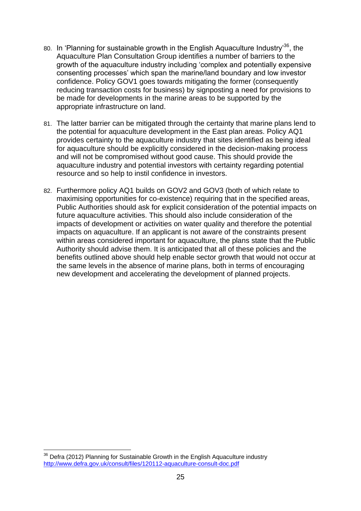- 80. In 'Planning for sustainable growth in the English Aquaculture Industry<sup>36</sup>, the Aquaculture Plan Consultation Group identifies a number of barriers to the growth of the aquaculture industry including "complex and potentially expensive consenting processes" which span the marine/land boundary and low investor confidence. Policy GOV1 goes towards mitigating the former (consequently reducing transaction costs for business) by signposting a need for provisions to be made for developments in the marine areas to be supported by the appropriate infrastructure on land.
- 81. The latter barrier can be mitigated through the certainty that marine plans lend to the potential for aquaculture development in the East plan areas. Policy AQ1 provides certainty to the aquaculture industry that sites identified as being ideal for aquaculture should be explicitly considered in the decision-making process and will not be compromised without good cause. This should provide the aquaculture industry and potential investors with certainty regarding potential resource and so help to instil confidence in investors.
- 82. Furthermore policy AQ1 builds on GOV2 and GOV3 (both of which relate to maximising opportunities for co-existence) requiring that in the specified areas, Public Authorities should ask for explicit consideration of the potential impacts on future aquaculture activities. This should also include consideration of the impacts of development or activities on water quality and therefore the potential impacts on aquaculture. If an applicant is not aware of the constraints present within areas considered important for aquaculture, the plans state that the Public Authority should advise them. It is anticipated that all of these policies and the benefits outlined above should help enable sector growth that would not occur at the same levels in the absence of marine plans, both in terms of encouraging new development and accelerating the development of planned projects.

<sup>1</sup>  $36$  Defra (2012) Planning for Sustainable Growth in the English Aquaculture industry <http://www.defra.gov.uk/consult/files/120112-aquaculture-consult-doc.pdf>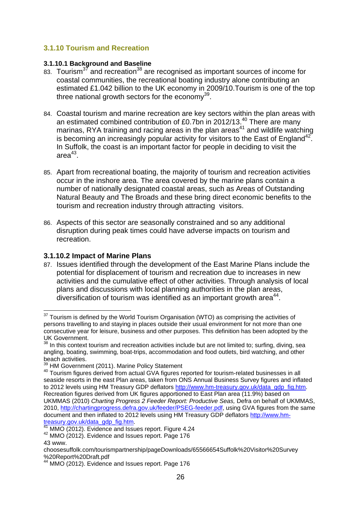#### <span id="page-25-0"></span>**3.1.10 Tourism and Recreation**

#### **3.1.10.1 Background and Baseline**

- 83. Tourism<sup>37</sup> and recreation<sup>38</sup> are recognised as important sources of income for coastal communities, the recreational boating industry alone contributing an estimated £1.042 billion to the UK economy in 2009/10.Tourism is one of the top three national growth sectors for the economy $^{39}$ .
- 84. Coastal tourism and marine recreation are key sectors within the plan areas with an estimated combined contribution of £0.7bn in 2012/13. $^{40}$  There are many marinas, RYA training and racing areas in the plan areas<sup>41</sup> and wildlife watching is becoming an increasingly popular activity for visitors to the East of England<sup>42</sup>. In Suffolk, the coast is an important factor for people in deciding to visit the area $^{43}$ .
- 85. Apart from recreational boating, the majority of tourism and recreation activities occur in the inshore area. The area covered by the marine plans contain a number of nationally designated coastal areas, such as Areas of Outstanding Natural Beauty and The Broads and these bring direct economic benefits to the tourism and recreation industry through attracting visitors.
- 86. Aspects of this sector are seasonally constrained and so any additional disruption during peak times could have adverse impacts on tourism and recreation.

#### **3.1.10.2 Impact of Marine Plans**

87. Issues identified through the development of the East Marine Plans include the potential for displacement of tourism and recreation due to increases in new activities and the cumulative effect of other activities. Through analysis of local plans and discussions with local planning authorities in the plan areas, diversification of tourism was identified as an important growth area $44$ .

1

 $37$  Tourism is defined by the World Tourism Organisation (WTO) as comprising the activities of persons travelling to and staying in places outside their usual environment for not more than one consecutive year for leisure, business and other purposes. This definition has been adopted by the UK Government.

<sup>&</sup>lt;sup>38</sup> In this context tourism and recreation activities include but are not limited to; surfing, diving, sea angling, boating, swimming, boat-trips, accommodation and food outlets, bird watching, and other beach activities.

<sup>&</sup>lt;sup>39</sup> HM Government (2011). Marine Policy Statement

<sup>&</sup>lt;sup>40</sup> Tourism figures derived from actual GVA figures reported for tourism-related businesses in all seaside resorts in the east Plan areas, taken from ONS Annual Business Survey figures and inflated to 2012 levels using HM Treasury GDP deflators [http://www.hm-treasury.gov.uk/data\\_gdp\\_fig.htm.](http://www.hm-treasury.gov.uk/data_gdp_fig.htm) Recreation figures derived from UK figures apportioned to East Plan area (11.9%) based on UKMMAS (2010) *Charting Progress 2 Feeder Report: Productive Seas,* Defra on behalf of UKMMAS, 2010, [http://chartingprogress.defra.gov.uk/feeder/PSEG-feeder.pdf,](http://chartingprogress.defra.gov.uk/feeder/PSEG-feeder.pdf) using GVA figures from the same document and then inflated to 2012 levels using HM Treasury GDP deflator[s http://www.hm](http://www.hm-treasury.gov.uk/data_gdp_fig.htm)[treasury.gov.uk/data\\_gdp\\_fig.htm.](http://www.hm-treasury.gov.uk/data_gdp_fig.htm)

<sup>41</sup> MMO (2012). Evidence and Issues report. Figure 4.24

 $42$  MMO (2012). Evidence and Issues report. Page 176

<sup>43</sup> www.

choosesuffolk.com/tourismpartnership/pageDownloads/65566654Suffolk%20Visitor%20Survey %20Report%20Draft.pdf

MMO (2012). Evidence and Issues report. Page 176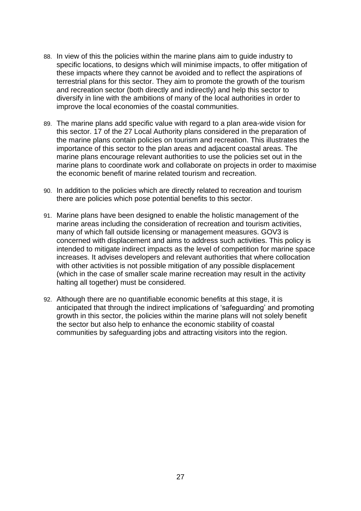- 88. In view of this the policies within the marine plans aim to guide industry to specific locations, to designs which will minimise impacts, to offer mitigation of these impacts where they cannot be avoided and to reflect the aspirations of terrestrial plans for this sector. They aim to promote the growth of the tourism and recreation sector (both directly and indirectly) and help this sector to diversify in line with the ambitions of many of the local authorities in order to improve the local economies of the coastal communities.
- 89. The marine plans add specific value with regard to a plan area-wide vision for this sector. 17 of the 27 Local Authority plans considered in the preparation of the marine plans contain policies on tourism and recreation. This illustrates the importance of this sector to the plan areas and adjacent coastal areas. The marine plans encourage relevant authorities to use the policies set out in the marine plans to coordinate work and collaborate on projects in order to maximise the economic benefit of marine related tourism and recreation.
- 90. In addition to the policies which are directly related to recreation and tourism there are policies which pose potential benefits to this sector.
- 91. Marine plans have been designed to enable the holistic management of the marine areas including the consideration of recreation and tourism activities, many of which fall outside licensing or management measures. GOV3 is concerned with displacement and aims to address such activities. This policy is intended to mitigate indirect impacts as the level of competition for marine space increases. It advises developers and relevant authorities that where collocation with other activities is not possible mitigation of any possible displacement (which in the case of smaller scale marine recreation may result in the activity halting all together) must be considered.
- 92. Although there are no quantifiable economic benefits at this stage, it is anticipated that through the indirect implications of "safeguarding" and promoting growth in this sector, the policies within the marine plans will not solely benefit the sector but also help to enhance the economic stability of coastal communities by safeguarding jobs and attracting visitors into the region.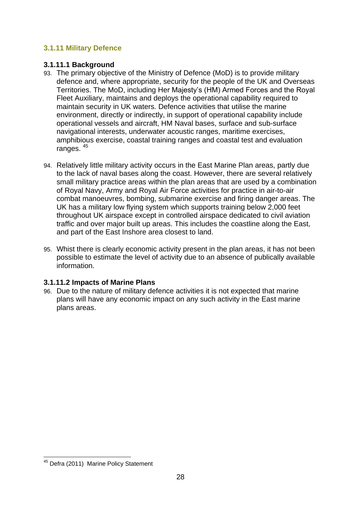#### <span id="page-27-0"></span>**3.1.11 Military Defence**

#### **3.1.11.1 Background**

- 93. The primary objective of the Ministry of Defence (MoD) is to provide military defence and, where appropriate, security for the people of the UK and Overseas Territories. The MoD, including Her Majesty"s (HM) Armed Forces and the Royal Fleet Auxiliary, maintains and deploys the operational capability required to maintain security in UK waters. Defence activities that utilise the marine environment, directly or indirectly, in support of operational capability include operational vessels and aircraft, HM Naval bases, surface and sub-surface navigational interests, underwater acoustic ranges, maritime exercises, amphibious exercise, coastal training ranges and coastal test and evaluation ranges. <sup>45</sup>
- 94. Relatively little military activity occurs in the East Marine Plan areas, partly due to the lack of naval bases along the coast. However, there are several relatively small military practice areas within the plan areas that are used by a combination of Royal Navy, Army and Royal Air Force activities for practice in air-to-air combat manoeuvres, bombing, submarine exercise and firing danger areas. The UK has a military low flying system which supports training below 2,000 feet throughout UK airspace except in controlled airspace dedicated to civil aviation traffic and over major built up areas. This includes the coastline along the East, and part of the East Inshore area closest to land.
- 95. Whist there is clearly economic activity present in the plan areas, it has not been possible to estimate the level of activity due to an absence of publically available information.

#### **3.1.11.2 Impacts of Marine Plans**

96. Due to the nature of military defence activities it is not expected that marine plans will have any economic impact on any such activity in the East marine plans areas.

<sup>1</sup> <sup>45</sup> Defra (2011) Marine Policy Statement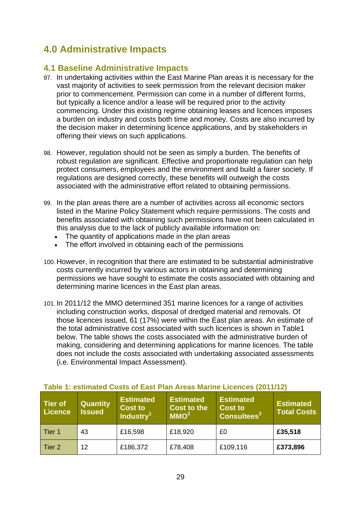## <span id="page-28-0"></span>**4.0 Administrative Impacts**

#### <span id="page-28-1"></span>**4.1 Baseline Administrative Impacts**

- 97. In undertaking activities within the East Marine Plan areas it is necessary for the vast majority of activities to seek permission from the relevant decision maker prior to commencement. Permission can come in a number of different forms, but typically a licence and/or a lease will be required prior to the activity commencing. Under this existing regime obtaining leases and licences imposes a burden on industry and costs both time and money. Costs are also incurred by the decision maker in determining licence applications, and by stakeholders in offering their views on such applications.
- 98. However, regulation should not be seen as simply a burden. The benefits of robust regulation are significant. Effective and proportionate regulation can help protect consumers, employees and the environment and build a fairer society. If regulations are designed correctly, these benefits will outweigh the costs associated with the administrative effort related to obtaining permissions.
- 99. In the plan areas there are a number of activities across all economic sectors listed in the Marine Policy Statement which require permissions. The costs and benefits associated with obtaining such permissions have not been calculated in this analysis due to the lack of publicly available information on:
	- The quantity of applications made in the plan areas
	- The effort involved in obtaining each of the permissions
- 100. However, in recognition that there are estimated to be substantial administrative costs currently incurred by various actors in obtaining and determining permissions we have sought to estimate the costs associated with obtaining and determining marine licences in the East plan areas.
- 101. In 2011/12 the MMO determined 351 marine licences for a range of activities including construction works, disposal of dredged material and removals. Of those licences issued, 61 (17%) were within the East plan areas. An estimate of the total administrative cost associated with such licences is shown in Table1 below. The table shows the costs associated with the administrative burden of making, considering and determining applications for marine licences. The table does not include the costs associated with undertaking associated assessments (i.e. Environmental Impact Assessment).

| Tier of<br>Licence | <b>Quantity</b><br><b>Issued</b> | <b>Estimated</b><br><b>Cost to</b><br>Industry <sup>1</sup> | <b>Estimated</b><br><b>Cost to the</b><br>MMO <sup>2</sup> | <b>Estimated</b><br><b>Cost to</b><br>Consultees <sup>3</sup> | <b>Estimated</b><br><b>Total Costs</b> |
|--------------------|----------------------------------|-------------------------------------------------------------|------------------------------------------------------------|---------------------------------------------------------------|----------------------------------------|
| Tier 1             | 43                               | £16,598                                                     | £18,920                                                    | £0                                                            | £35,518                                |
| Tier 2             | 12                               | £186,372                                                    | £78,408                                                    | £109,116                                                      | £373,896                               |

#### <span id="page-28-2"></span>**Table 1: estimated Costs of East Plan Areas Marine Licences (2011/12)**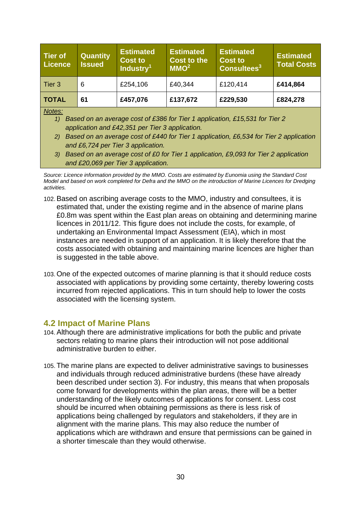| <b>Tier of</b><br><b>Licence</b> | <b>Quantity</b><br><b>Issued</b> | <b>Estimated</b><br><b>Cost to</b><br>Industry <sup>1</sup> | <b>Estimated</b><br><b>Cost to the</b><br>MMO <sup>2</sup> | <b>Estimated</b><br><b>Cost to</b><br>Consultees <sup>3</sup> | <b>Estimated</b><br><b>Total Costs</b> |
|----------------------------------|----------------------------------|-------------------------------------------------------------|------------------------------------------------------------|---------------------------------------------------------------|----------------------------------------|
| Tier 3                           | 6                                | £254,106                                                    | £40,344                                                    | £120,414                                                      | £414,864                               |
| <b>TOTAL</b>                     | 61                               | £457,076                                                    | £137,672                                                   | £229,530                                                      | £824,278                               |

*Notes:*

- *1) Based on an average cost of £386 for Tier 1 application, £15,531 for Tier 2 application and £42,351 per Tier 3 application.*
- *2) Based on an average cost of £440 for Tier 1 application, £6,534 for Tier 2 application and £6,724 per Tier 3 application.*
- *3) Based on an average cost of £0 for Tier 1 application, £9,093 for Tier 2 application and £20,069 per Tier 3 application.*

- 102.Based on ascribing average costs to the MMO, industry and consultees, it is estimated that, under the existing regime and in the absence of marine plans £0.8m was spent within the East plan areas on obtaining and determining marine licences in 2011/12. This figure does not include the costs, for example, of undertaking an Environmental Impact Assessment (EIA), which in most instances are needed in support of an application. It is likely therefore that the costs associated with obtaining and maintaining marine licences are higher than is suggested in the table above.
- 103.One of the expected outcomes of marine planning is that it should reduce costs associated with applications by providing some certainty, thereby lowering costs incurred from rejected applications. This in turn should help to lower the costs associated with the licensing system.

#### <span id="page-29-0"></span>**4.2 Impact of Marine Plans**

- 104.Although there are administrative implications for both the public and private sectors relating to marine plans their introduction will not pose additional administrative burden to either.
- 105.The marine plans are expected to deliver administrative savings to businesses and individuals through reduced administrative burdens (these have already been described under section 3). For industry, this means that when proposals come forward for developments within the plan areas, there will be a better understanding of the likely outcomes of applications for consent. Less cost should be incurred when obtaining permissions as there is less risk of applications being challenged by regulators and stakeholders, if they are in alignment with the marine plans. This may also reduce the number of applications which are withdrawn and ensure that permissions can be gained in a shorter timescale than they would otherwise.

*Source: Licence information provided by the MMO. Costs are estimated by Eunomia using the Standard Cost Model and based on work completed for Defra and the MMO on the introduction of Marine Licences for Dredging activities.*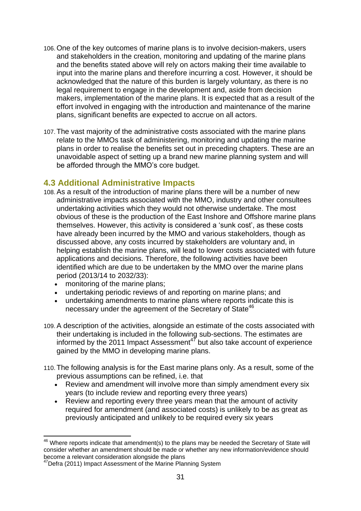- 106.One of the key outcomes of marine plans is to involve decision-makers, users and stakeholders in the creation, monitoring and updating of the marine plans and the benefits stated above will rely on actors making their time available to input into the marine plans and therefore incurring a cost. However, it should be acknowledged that the nature of this burden is largely voluntary, as there is no legal requirement to engage in the development and, aside from decision makers, implementation of the marine plans. It is expected that as a result of the effort involved in engaging with the introduction and maintenance of the marine plans, significant benefits are expected to accrue on all actors.
- 107.The vast majority of the administrative costs associated with the marine plans relate to the MMOs task of administering, monitoring and updating the marine plans in order to realise the benefits set out in preceding chapters. These are an unavoidable aspect of setting up a brand new marine planning system and will be afforded through the MMO"s core budget.

#### <span id="page-30-0"></span>**4.3 Additional Administrative Impacts**

- 108.As a result of the introduction of marine plans there will be a number of new administrative impacts associated with the MMO, industry and other consultees undertaking activities which they would not otherwise undertake. The most obvious of these is the production of the East Inshore and Offshore marine plans themselves. However, this activity is considered a "sunk cost", as these costs have already been incurred by the MMO and various stakeholders, though as discussed above, any costs incurred by stakeholders are voluntary and, in helping establish the marine plans, will lead to lower costs associated with future applications and decisions. Therefore, the following activities have been identified which are due to be undertaken by the MMO over the marine plans period (2013/14 to 2032/33):
	- monitoring of the marine plans:
	- undertaking periodic reviews of and reporting on marine plans; and
	- undertaking amendments to marine plans where reports indicate this is necessary under the agreement of the Secretary of State<sup>46</sup>
- 109.A description of the activities, alongside an estimate of the costs associated with their undertaking is included in the following sub-sections. The estimates are informed by the 2011 Impact Assessment<sup>47</sup> but also take account of experience gained by the MMO in developing marine plans.
- 110.The following analysis is for the East marine plans only. As a result, some of the previous assumptions can be refined, i.e. that
	- Review and amendment will involve more than simply amendment every six years (to include review and reporting every three years)
	- Review and reporting every three years mean that the amount of activity required for amendment (and associated costs) is unlikely to be as great as previously anticipated and unlikely to be required every six years

1

 $46$  Where reports indicate that amendment(s) to the plans may be needed the Secretary of State will consider whether an amendment should be made or whether any new information/evidence should become a relevant consideration alongside the plans

<sup>&</sup>lt;sup>47</sup>Defra (2011) Impact Assessment of the Marine Planning System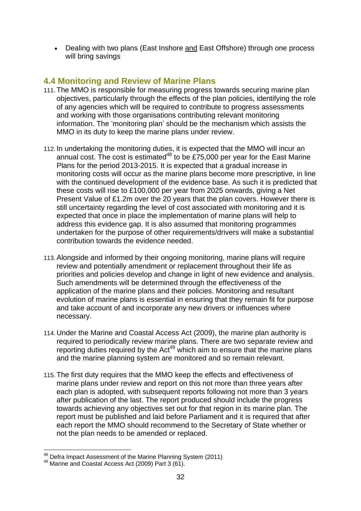• Dealing with two plans (East Inshore and East Offshore) through one process will bring savings

#### <span id="page-31-0"></span>**4.4 Monitoring and Review of Marine Plans**

- 111.The MMO is responsible for measuring progress towards securing marine plan objectives, particularly through the effects of the plan policies, identifying the role of any agencies which will be required to contribute to progress assessments and working with those organisations contributing relevant monitoring information. The "monitoring plan" should be the mechanism which assists the MMO in its duty to keep the marine plans under review.
- 112. In undertaking the monitoring duties, it is expected that the MMO will incur an annual cost. The cost is estimated<sup>48</sup> to be £75,000 per year for the East Marine Plans for the period 2013-2015. It is expected that a gradual increase in monitoring costs will occur as the marine plans become more prescriptive, in line with the continued development of the evidence base. As such it is predicted that these costs will rise to £100,000 per year from 2025 onwards, giving a Net Present Value of £1.2m over the 20 years that the plan covers. However there is still uncertainty regarding the level of cost associated with monitoring and it is expected that once in place the implementation of marine plans will help to address this evidence gap. It is also assumed that monitoring programmes undertaken for the purpose of other requirements/drivers will make a substantial contribution towards the evidence needed.
- 113.Alongside and informed by their ongoing monitoring, marine plans will require review and potentially amendment or replacement throughout their life as priorities and policies develop and change in light of new evidence and analysis. Such amendments will be determined through the effectiveness of the application of the marine plans and their policies. Monitoring and resultant evolution of marine plans is essential in ensuring that they remain fit for purpose and take account of and incorporate any new drivers or influences where necessary.
- 114. Under the Marine and Coastal Access Act (2009), the marine plan authority is required to periodically review marine plans. There are two separate review and reporting duties required by the Act<sup>49</sup> which aim to ensure that the marine plans and the marine planning system are monitored and so remain relevant.
- 115.The first duty requires that the MMO keep the effects and effectiveness of marine plans under review and report on this not more than three years after each plan is adopted, with subsequent reports following not more than 3 years after publication of the last. The report produced should include the progress towards achieving any objectives set out for that region in its marine plan. The report must be published and laid before Parliament and it is required that after each report the MMO should recommend to the Secretary of State whether or not the plan needs to be amended or replaced.

<sup>1</sup> <sup>48</sup> Defra Impact Assessment of the Marine Planning System (2011)

<sup>49</sup> Marine and Coastal Access Act (2009) Part 3 (61).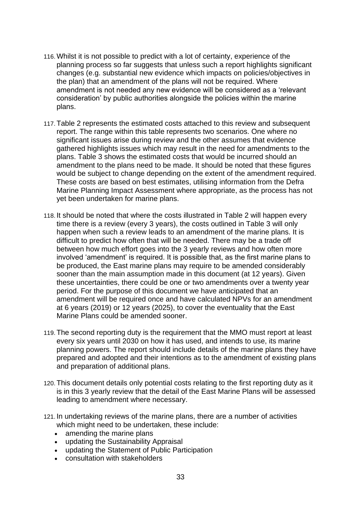- 116.Whilst it is not possible to predict with a lot of certainty, experience of the planning process so far suggests that unless such a report highlights significant changes (e.g. substantial new evidence which impacts on policies/objectives in the plan) that an amendment of the plans will not be required. Where amendment is not needed any new evidence will be considered as a "relevant consideration" by public authorities alongside the policies within the marine plans.
- 117.Table 2 represents the estimated costs attached to this review and subsequent report. The range within this table represents two scenarios. One where no significant issues arise during review and the other assumes that evidence gathered highlights issues which may result in the need for amendments to the plans. Table 3 shows the estimated costs that would be incurred should an amendment to the plans need to be made. It should be noted that these figures would be subject to change depending on the extent of the amendment required. These costs are based on best estimates, utilising information from the Defra Marine Planning Impact Assessment where appropriate, as the process has not yet been undertaken for marine plans.
- 118. It should be noted that where the costs illustrated in Table 2 will happen every time there is a review (every 3 years), the costs outlined in Table 3 will only happen when such a review leads to an amendment of the marine plans. It is difficult to predict how often that will be needed. There may be a trade off between how much effort goes into the 3 yearly reviews and how often more involved "amendment" is required. It is possible that, as the first marine plans to be produced, the East marine plans may require to be amended considerably sooner than the main assumption made in this document (at 12 years). Given these uncertainties, there could be one or two amendments over a twenty year period. For the purpose of this document we have anticipated that an amendment will be required once and have calculated NPVs for an amendment at 6 years (2019) or 12 years (2025), to cover the eventuality that the East Marine Plans could be amended sooner.
- 119.The second reporting duty is the requirement that the MMO must report at least every six years until 2030 on how it has used, and intends to use, its marine planning powers. The report should include details of the marine plans they have prepared and adopted and their intentions as to the amendment of existing plans and preparation of additional plans.
- 120.This document details only potential costs relating to the first reporting duty as it is in this 3 yearly review that the detail of the East Marine Plans will be assessed leading to amendment where necessary.
- 121. In undertaking reviews of the marine plans, there are a number of activities which might need to be undertaken, these include:
	- amending the marine plans
	- updating the Sustainability Appraisal
	- updating the Statement of Public Participation
	- consultation with stakeholders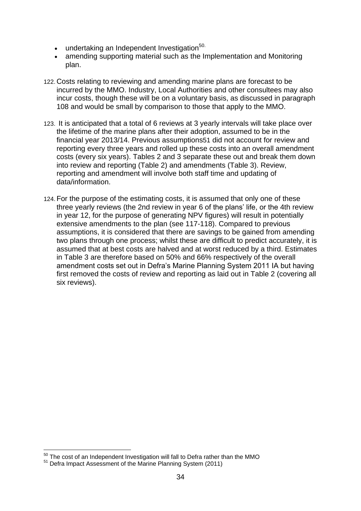- undertaking an Independent Investigation<sup>50.</sup>
- amending supporting material such as the Implementation and Monitoring plan.
- 122. Costs relating to reviewing and amending marine plans are forecast to be incurred by the MMO. Industry, Local Authorities and other consultees may also incur costs, though these will be on a voluntary basis, as discussed in paragraph 108 and would be small by comparison to those that apply to the MMO.
- 123. It is anticipated that a total of 6 reviews at 3 yearly intervals will take place over the lifetime of the marine plans after their adoption, assumed to be in the financial year 2013/14. Previous assumptions51 did not account for review and reporting every three years and rolled up these costs into an overall amendment costs (every six years). Tables 2 and 3 separate these out and break them down into review and reporting (Table 2) and amendments (Table 3). Review, reporting and amendment will involve both staff time and updating of data/information.
- 124.For the purpose of the estimating costs, it is assumed that only one of these three yearly reviews (the 2nd review in year 6 of the plans" life, or the 4th review in year 12, for the purpose of generating NPV figures) will result in potentially extensive amendments to the plan (see 117-118). Compared to previous assumptions, it is considered that there are savings to be gained from amending two plans through one process; whilst these are difficult to predict accurately, it is assumed that at best costs are halved and at worst reduced by a third. Estimates in Table 3 are therefore based on 50% and 66% respectively of the overall amendment costs set out in Defra"s Marine Planning System 2011 IA but having first removed the costs of review and reporting as laid out in Table 2 (covering all six reviews).

1

 $50$  The cost of an Independent Investigation will fall to Defra rather than the MMO

<sup>&</sup>lt;sup>51</sup> Defra Impact Assessment of the Marine Planning System (2011)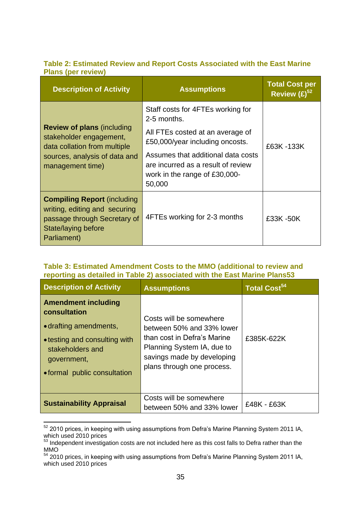#### <span id="page-34-0"></span>**Table 2: Estimated Review and Report Costs Associated with the East Marine Plans (per review)**

| <b>Description of Activity</b>                                                                                                                    | <b>Assumptions</b>                                                                                                  | <b>Total Cost per</b><br>Review $(E)^{52}$ |  |
|---------------------------------------------------------------------------------------------------------------------------------------------------|---------------------------------------------------------------------------------------------------------------------|--------------------------------------------|--|
|                                                                                                                                                   | Staff costs for 4FTEs working for<br>2-5 months.                                                                    |                                            |  |
| <b>Review of plans (including</b><br>stakeholder engagement,<br>data collation from multiple<br>sources, analysis of data and<br>management time) | All FTEs costed at an average of<br>£50,000/year including oncosts.                                                 | £63K-133K                                  |  |
|                                                                                                                                                   | Assumes that additional data costs<br>are incurred as a result of review<br>work in the range of £30,000-<br>50,000 |                                            |  |
| <b>Compiling Report (including</b><br>writing, editing and securing<br>passage through Secretary of<br>State/laying before<br>Parliament)         | 4FTEs working for 2-3 months                                                                                        | £33K-50K                                   |  |

#### <span id="page-34-1"></span>**Table 3: Estimated Amendment Costs to the MMO (additional to review and reporting as detailed in Table 2) associated with the East Marine Plans53**

| <b>Description of Activity</b>                                                                                                                                           | <b>Assumptions</b>                                                                                                                                                            | Total Cost $^{\bf 54}$ |
|--------------------------------------------------------------------------------------------------------------------------------------------------------------------------|-------------------------------------------------------------------------------------------------------------------------------------------------------------------------------|------------------------|
| <b>Amendment including</b><br>consultation<br>• drafting amendments,<br>• testing and consulting with<br>stakeholders and<br>government,<br>• formal public consultation | Costs will be somewhere<br>between 50% and 33% lower<br>than cost in Defra's Marine<br>Planning System IA, due to<br>savings made by developing<br>plans through one process. | £385K-622K             |
| <b>Sustainability Appraisal</b>                                                                                                                                          | Costs will be somewhere<br>between 50% and 33% lower                                                                                                                          | £48K - £63K            |

<sup>1</sup>  $52$  2010 prices, in keeping with using assumptions from Defra's Marine Planning System 2011 IA, which used 2010 prices

 $53$  Independent investigation costs are not included here as this cost falls to Defra rather than the MMO

<sup>&</sup>lt;sup>54</sup> 2010 prices, in keeping with using assumptions from Defra's Marine Planning System 2011 IA, which used 2010 prices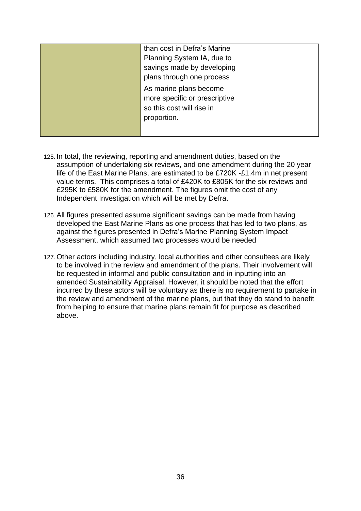|  | than cost in Defra's Marine   |  |  |  |
|--|-------------------------------|--|--|--|
|  | Planning System IA, due to    |  |  |  |
|  | savings made by developing    |  |  |  |
|  | plans through one process     |  |  |  |
|  | As marine plans become        |  |  |  |
|  | more specific or prescriptive |  |  |  |
|  | so this cost will rise in     |  |  |  |
|  | proportion.                   |  |  |  |
|  |                               |  |  |  |
|  |                               |  |  |  |

- 125. In total, the reviewing, reporting and amendment duties, based on the assumption of undertaking six reviews, and one amendment during the 20 year life of the East Marine Plans, are estimated to be £720K -£1.4m in net present value terms. This comprises a total of £420K to £805K for the six reviews and £295K to £580K for the amendment. The figures omit the cost of any Independent Investigation which will be met by Defra.
- 126.All figures presented assume significant savings can be made from having developed the East Marine Plans as one process that has led to two plans, as against the figures presented in Defra"s Marine Planning System Impact Assessment, which assumed two processes would be needed
- 127.Other actors including industry, local authorities and other consultees are likely to be involved in the review and amendment of the plans. Their involvement will be requested in informal and public consultation and in inputting into an amended Sustainability Appraisal. However, it should be noted that the effort incurred by these actors will be voluntary as there is no requirement to partake in the review and amendment of the marine plans, but that they do stand to benefit from helping to ensure that marine plans remain fit for purpose as described above.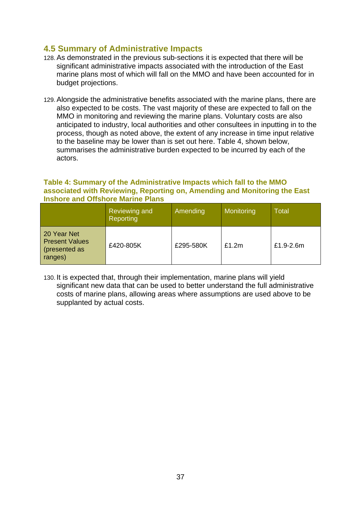#### <span id="page-36-0"></span>**4.5 Summary of Administrative Impacts**

- 128.As demonstrated in the previous sub-sections it is expected that there will be significant administrative impacts associated with the introduction of the East marine plans most of which will fall on the MMO and have been accounted for in budget projections.
- 129.Alongside the administrative benefits associated with the marine plans, there are also expected to be costs. The vast majority of these are expected to fall on the MMO in monitoring and reviewing the marine plans. Voluntary costs are also anticipated to industry, local authorities and other consultees in inputting in to the process, though as noted above, the extent of any increase in time input relative to the baseline may be lower than is set out here. Table 4, shown below, summarises the administrative burden expected to be incurred by each of the actors.

#### <span id="page-36-1"></span>**Table 4: Summary of the Administrative Impacts which fall to the MMO associated with Reviewing, Reporting on, Amending and Monitoring the East Inshore and Offshore Marine Plans**

|                                                                 | Reviewing and<br>Reporting | Amending  | Monitoring | Total     |
|-----------------------------------------------------------------|----------------------------|-----------|------------|-----------|
| 20 Year Net<br><b>Present Values</b><br>presented as<br>ranges) | £420-805K                  | £295-580K | £1.2m      | £1.9-2.6m |

130. It is expected that, through their implementation, marine plans will yield significant new data that can be used to better understand the full administrative costs of marine plans, allowing areas where assumptions are used above to be supplanted by actual costs.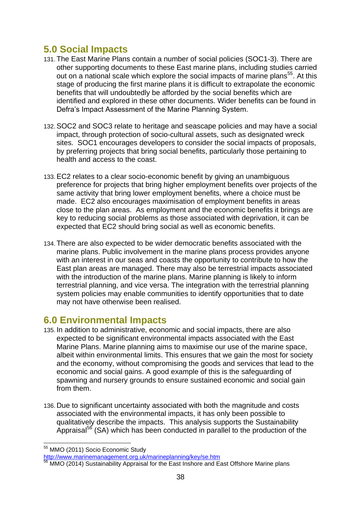## <span id="page-37-0"></span>**5.0 Social Impacts**

- 131.The East Marine Plans contain a number of social policies (SOC1-3). There are other supporting documents to these East marine plans, including studies carried out on a national scale which explore the social impacts of marine plans<sup>55</sup>. At this stage of producing the first marine plans it is difficult to extrapolate the economic benefits that will undoubtedly be afforded by the social benefits which are identified and explored in these other documents. Wider benefits can be found in Defra"s Impact Assessment of the Marine Planning System.
- 132.SOC2 and SOC3 relate to heritage and seascape policies and may have a social impact, through protection of socio-cultural assets, such as designated wreck sites. SOC1 encourages developers to consider the social impacts of proposals, by preferring projects that bring social benefits, particularly those pertaining to health and access to the coast.
- 133.EC2 relates to a clear socio-economic benefit by giving an unambiguous preference for projects that bring higher employment benefits over projects of the same activity that bring lower employment benefits, where a choice must be made. EC2 also encourages maximisation of employment benefits in areas close to the plan areas. As employment and the economic benefits it brings are key to reducing social problems as those associated with deprivation, it can be expected that EC2 should bring social as well as economic benefits.
- 134.There are also expected to be wider democratic benefits associated with the marine plans. Public involvement in the marine plans process provides anyone with an interest in our seas and coasts the opportunity to contribute to how the East plan areas are managed. There may also be terrestrial impacts associated with the introduction of the marine plans. Marine planning is likely to inform terrestrial planning, and vice versa. The integration with the terrestrial planning system policies may enable communities to identify opportunities that to date may not have otherwise been realised.

### <span id="page-37-1"></span>**6.0 Environmental Impacts**

- 135. In addition to administrative, economic and social impacts, there are also expected to be significant environmental impacts associated with the East Marine Plans. Marine planning aims to maximise our use of the marine space, albeit within environmental limits. This ensures that we gain the most for society and the economy, without compromising the goods and services that lead to the economic and social gains. A good example of this is the safeguarding of spawning and nursery grounds to ensure sustained economic and social gain from them.
- 136. Due to significant uncertainty associated with both the magnitude and costs associated with the environmental impacts, it has only been possible to qualitatively describe the impacts. This analysis supports the Sustainability Appraisal<sup>56</sup> (SA) which has been conducted in parallel to the production of the

<sup>1</sup> <sup>55</sup> MMO (2011) Socio Economic Study

<http://www.marinemanagement.org.uk/marineplanning/key/se.htm>

MMO (2014) Sustainability Appraisal for the East Inshore and East Offshore Marine plans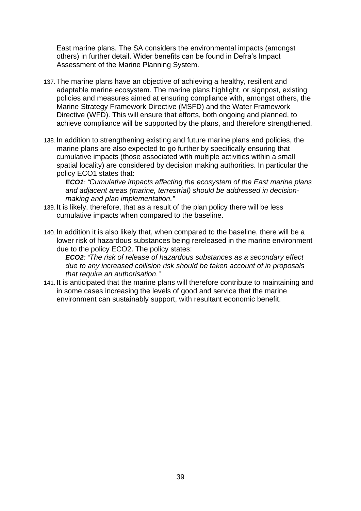East marine plans. The SA considers the environmental impacts (amongst others) in further detail. Wider benefits can be found in Defra"s Impact Assessment of the Marine Planning System.

- 137.The marine plans have an objective of achieving a healthy, resilient and adaptable marine ecosystem. The marine plans highlight, or signpost, existing policies and measures aimed at ensuring compliance with, amongst others, the Marine Strategy Framework Directive (MSFD) and the Water Framework Directive (WFD). This will ensure that efforts, both ongoing and planned, to achieve compliance will be supported by the plans, and therefore strengthened.
- 138. In addition to strengthening existing and future marine plans and policies, the marine plans are also expected to go further by specifically ensuring that cumulative impacts (those associated with multiple activities within a small spatial locality) are considered by decision making authorities. In particular the policy ECO1 states that:

*ECO1: "Cumulative impacts affecting the ecosystem of the East marine plans and adjacent areas (marine, terrestrial) should be addressed in decisionmaking and plan implementation."*

- 139. It is likely, therefore, that as a result of the plan policy there will be less cumulative impacts when compared to the baseline.
- 140. In addition it is also likely that, when compared to the baseline, there will be a lower risk of hazardous substances being rereleased in the marine environment due to the policy ECO2. The policy states:

*ECO2: "The risk of release of hazardous substances as a secondary effect due to any increased collision risk should be taken account of in proposals that require an authorisation."*

141. It is anticipated that the marine plans will therefore contribute to maintaining and in some cases increasing the levels of good and service that the marine environment can sustainably support, with resultant economic benefit.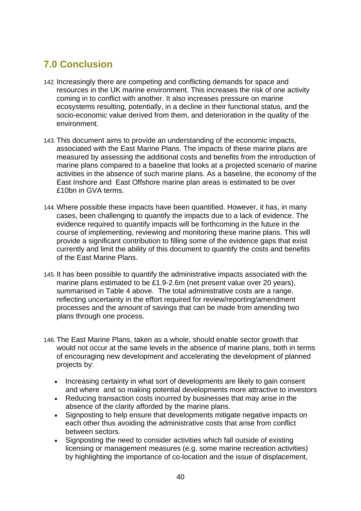## <span id="page-39-0"></span>**7.0 Conclusion**

- 142. Increasingly there are competing and conflicting demands for space and resources in the UK marine environment. This increases the risk of one activity coming in to conflict with another. It also increases pressure on marine ecosystems resulting, potentially, in a decline in their functional status, and the socio-economic value derived from them, and deterioration in the quality of the environment.
- 143.This document aims to provide an understanding of the economic impacts, associated with the East Marine Plans. The impacts of these marine plans are measured by assessing the additional costs and benefits from the introduction of marine plans compared to a baseline that looks at a projected scenario of marine activities in the absence of such marine plans. As a baseline, the economy of the East Inshore and East Offshore marine plan areas is estimated to be over £10bn in GVA terms.
- 144.Where possible these impacts have been quantified. However, it has, in many cases, been challenging to quantify the impacts due to a lack of evidence. The evidence required to quantify impacts will be forthcoming in the future in the course of implementing, reviewing and monitoring these marine plans. This will provide a significant contribution to filling some of the evidence gaps that exist currently and limit the ability of this document to quantify the costs and benefits of the East Marine Plans.
- 145. It has been possible to quantify the administrative impacts associated with the marine plans estimated to be £1.9-2.6m (net present value over 20 years), summarised in Table 4 above. The total administrative costs are a range, reflecting uncertainty in the effort required for review/reporting/amendment processes and the amount of savings that can be made from amending two plans through one process.
- 146.The East Marine Plans, taken as a whole, should enable sector growth that would not occur at the same levels in the absence of marine plans, both in terms of encouraging new development and accelerating the development of planned projects by:
	- Increasing certainty in what sort of developments are likely to gain consent and where and so making potential developments more attractive to investors
	- Reducing transaction costs incurred by businesses that may arise in the absence of the clarity afforded by the marine plans.
	- Signposting to help ensure that developments mitigate negative impacts on each other thus avoiding the administrative costs that arise from conflict between sectors.
	- Signposting the need to consider activities which fall outside of existing licensing or management measures (e.g. some marine recreation activities) by highlighting the importance of co-location and the issue of displacement,